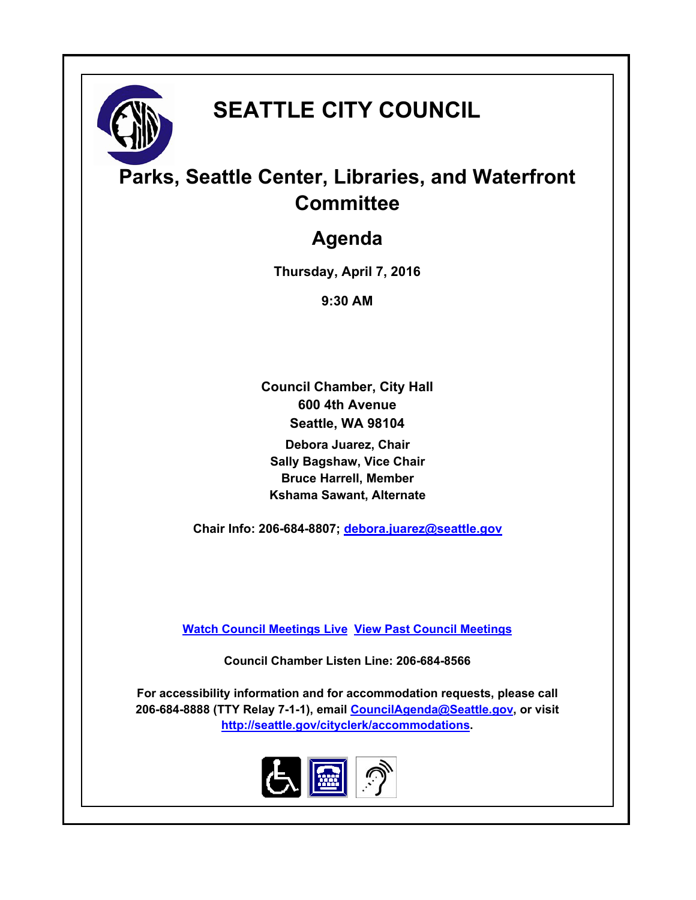

# **SEATTLE CITY COUNCIL**

## **Parks, Seattle Center, Libraries, and Waterfront Committee**

### **Agenda**

**Thursday, April 7, 2016**

**9:30 AM**

**Council Chamber, City Hall 600 4th Avenue Seattle, WA 98104**

**Debora Juarez, Chair Sally Bagshaw, Vice Chair Bruce Harrell, Member Kshama Sawant, Alternate**

**Chair Info: 206-684-8807; [debora.juarez@seattle.gov](mailto:debora.juarez@seattle.gov)**

**[Watch Council Meetings Live](http://www.seattle.gov/council/councillive.htm) [View Past Council Meetings](http://www.seattlechannel.org/videos/browseVideos.asp?topic=council)**

**Council Chamber Listen Line: 206-684-8566**

**For accessibility information and for accommodation requests, please call 206-684-8888 (TTY Relay 7-1-1), email [CouncilAgenda@Seattle.gov](mailto:CouncilAgenda@Seattle.gov), or visit <http://seattle.gov/cityclerk/accommodations>.**

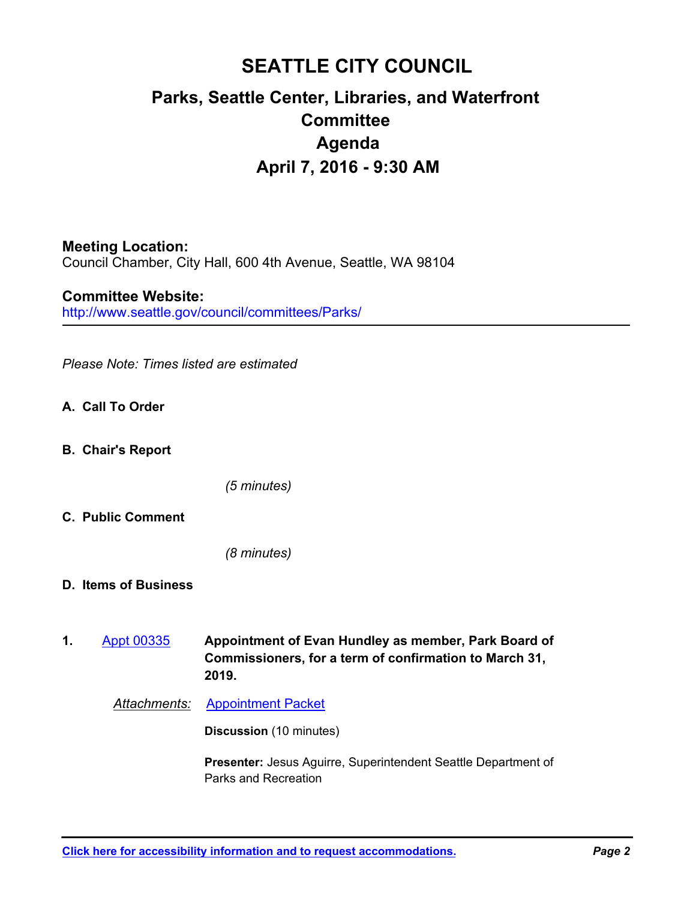### **SEATTLE CITY COUNCIL Parks, Seattle Center, Libraries, and Waterfront Committee Agenda April 7, 2016 - 9:30 AM**

#### **Meeting Location:**

Council Chamber, City Hall, 600 4th Avenue, Seattle, WA 98104

http://www.seattle.gov/council/committees/Parks/ **Committee Website:**

*Please Note: Times listed are estimated*

- **A. Call To Order**
- **B. Chair's Report**

*(5 minutes)*

**C. Public Comment**

*(8 minutes)*

- **D. Items of Business**
- **Appointment of Evan Hundley as member, Park Board of Commissioners, for a term of confirmation to March 31, 2019. 1.** [Appt 00335](http://seattle.legistar.com/gateway.aspx?m=l&id=/matter.aspx?key=3806)

*Attachments:* [Appointment Packet](http://seattle.legistar.com/gateway.aspx?M=F&ID=49477b2e-64ce-476c-a6f5-a7f1282df07d.pdf)

**Discussion** (10 minutes)

**Presenter:** Jesus Aguirre, Superintendent Seattle Department of Parks and Recreation